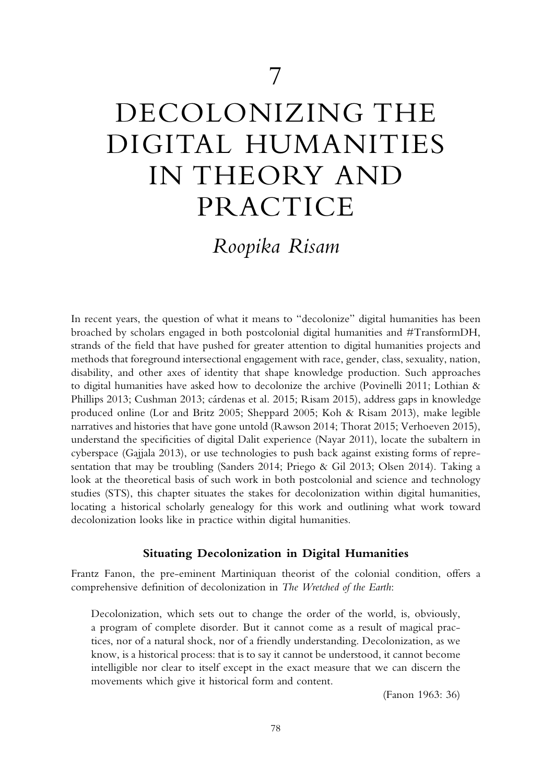# DECOLONIZING THE [DIGITAL HUMANITIES](#page--1-0)  IN THEORY AND PRACTICE

# *Roopika Risam*

In recent years, the question of what it means to "decolonize" digital humanities has been broached by scholars engaged in both postcolonial digital humanities and #TransformDH, strands of the field that have pushed for greater attention to digital humanities projects and methods that foreground intersectional engagement with race, gender, class, sexuality, nation, disability, and other axes of identity that shape knowledge production. Such approaches to digital humanities have asked how to decolonize the archive (Povinelli 2011; Lothian & Phillips 2013; Cushman 2013; cárdenas et al. 2015; Risam 2015), address gaps in knowledge produced online (Lor and Britz 2005; Sheppard 2005; Koh & Risam 2013), make legible narratives and histories that have gone untold (Rawson 2014; Thorat 2015; Verhoeven 2015), understand the specificities of digital Dalit experience (Nayar 2011), locate the subaltern in cyberspace (Gajjala 2013), or use technologies to push back against existing forms of repre sentation that may be troubling (Sanders 2014; Priego & Gil 2013; Olsen 2014). Taking a look at the theoretical basis of such work in both postcolonial and science and technology studies (STS), this chapter situates the stakes for decolonization within digital humanities, locating a historical scholarly genealogy for this work and outlining what work toward decolonization looks like in practice within digital humanities.

# **Situating Decolonization in Digital Humanities**

Frantz Fanon, the pre-eminent Martiniquan theorist of the colonial condition, offers a comprehensive definition of decolonization in *The Wretched of the Earth*:

Decolonization, which sets out to change the order of the world, is, obviously, a program of complete disorder. But it cannot come as a result of magical practices, nor of a natural shock, nor of a friendly understanding. Decolonization, as we know, is a historical process: that is to say it cannot be understood, it cannot become intelligible nor clear to itself except in the exact measure that we can discern the movements which give it historical form and content.

(Fanon 1963: 36)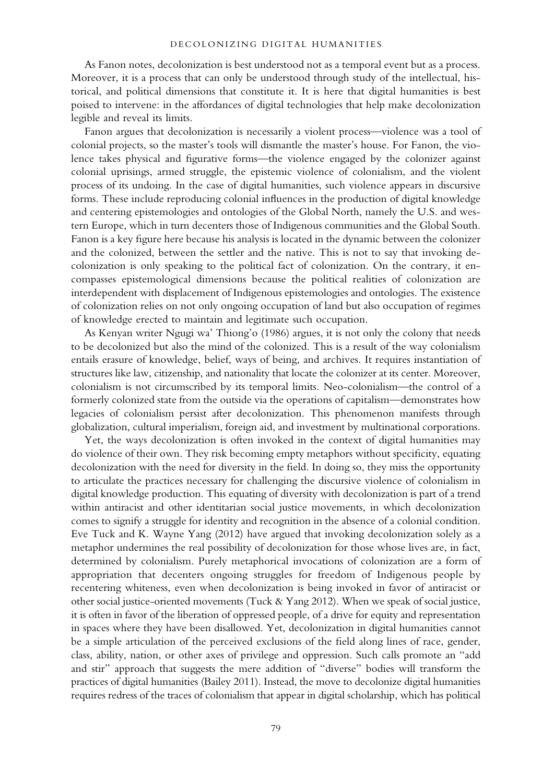As Fanon notes, decolonization is best understood not as a temporal event but as a process. Moreover, it is a process that can only be understood through study of the intellectual, historical, and political dimensions that constitute it. It is here that digital humanities is best poised to intervene: in the affordances of digital technologies that help make decolonization legible and reveal its limits.

Fanon argues that decolonization is necessarily a violent process—violence was a tool of colonial projects, so the master's tools will dismantle the master's house. For Fanon, the vio lence takes physical and figurative forms—the violence engaged by the colonizer against colonial uprisings, armed struggle, the epistemic violence of colonialism, and the violent process of its undoing. In the case of digital humanities, such violence appears in discursive forms. These include reproducing colonial influences in the production of digital knowledge and centering epistemologies and ontologies of the Global North, namely the U.S. and western Europe, which in turn decenters those of Indigenous communities and the Global South. Fanon is a key figure here because his analysis is located in the dynamic between the colonizer and the colonized, between the settler and the native. This is not to say that invoking decolonization is only speaking to the political fact of colonization. On the contrary, it encompasses epistemological dimensions because the political realities of colonization are interdependent with displacement of Indigenous epistemologies and ontologies. The existence of colonization relies on not only ongoing occupation of land but also occupation of regimes of knowledge erected to maintain and legitimate such occupation.

As Kenyan writer Ngugi wa' Thiong'o (1986) argues, it is not only the colony that needs to be decolonized but also the mind of the colonized. This is a result of the way colonialism entails erasure of knowledge, belief, ways of being, and archives. It requires instantiation of structures like law, citizenship, and nationality that locate the colonizer at its center. Moreover, colonialism is not circumscribed by its temporal limits. Neo-colonialism—the control of a formerly colonized state from the outside via the operations of capitalism—demonstrates how legacies of colonialism persist after decolonization. This phenomenon manifests through globalization, cultural imperialism, foreign aid, and investment by multinational corporations.

Yet, the ways decolonization is often invoked in the context of digital humanities may do violence of their own. They risk becoming empty metaphors without specificity, equating decolonization with the need for diversity in the field. In doing so, they miss the opportunity to articulate the practices necessary for challenging the discursive violence of colonialism in digital knowledge production. This equating of diversity with decolonization is part of a trend within antiracist and other identitarian social justice movements, in which decolonization comes to signify a struggle for identity and recognition in the absence of a colonial condition. Eve Tuck and K. Wayne Yang (2012) have argued that invoking decolonization solely as a metaphor undermines the real possibility of decolonization for those whose lives are, in fact, determined by colonialism. Purely metaphorical invocations of colonization are a form of appropriation that decenters ongoing struggles for freedom of Indigenous people by recentering whiteness, even when decolonization is being invoked in favor of antiracist or other social justice-oriented movements (Tuck  $& Yang 2012$ ). When we speak of social justice, it is often in favor of the liberation of oppressed people, of a drive for equity and representation in spaces where they have been disallowed. Yet, decolonization in digital humanities cannot be a simple articulation of the perceived exclusions of the field along lines of race, gender, class, ability, nation, or other axes of privilege and oppression. Such calls promote an "add and stir" approach that suggests the mere addition of "diverse" bodies will transform the practices of digital humanities (Bailey 2011). Instead, the move to decolonize digital humanities requires redress of the traces of colonialism that appear in digital scholarship, which has political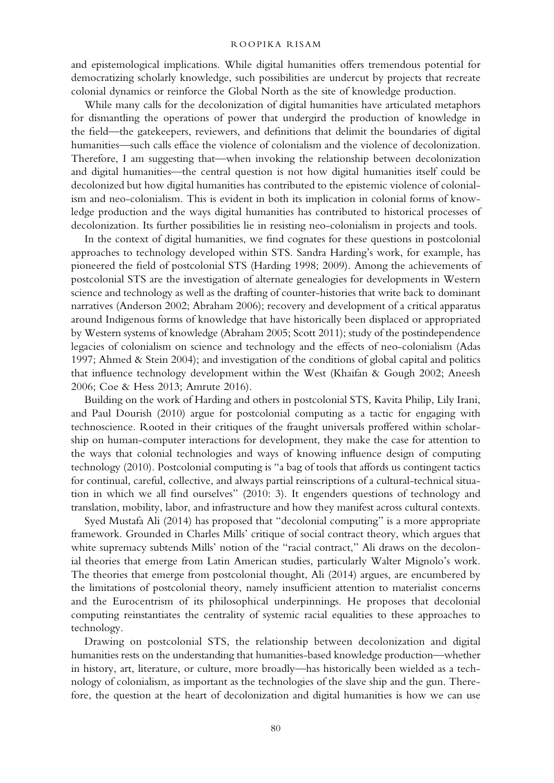#### ROOPIKA RISAM

and epistemological implications. While digital humanities offers tremendous potential for democratizing scholarly knowledge, such possibilities are undercut by projects that recreate colonial dynamics or reinforce the Global North as the site of knowledge production.

While many calls for the decolonization of digital humanities have articulated metaphors for dismantling the operations of power that undergird the production of knowledge in the field—the gatekeepers, reviewers, and definitions that delimit the boundaries of digital humanities—such calls efface the violence of colonialism and the violence of decolonization. Therefore, I am suggesting that—when invoking the relationship between decolonization and digital humanities—the central question is not how digital humanities itself could be decolonized but how digital humanities has contributed to the epistemic violence of colonialism and neo-colonialism. This is evident in both its implication in colonial forms of knowledge production and the ways digital humanities has contributed to historical processes of decolonization. Its further possibilities lie in resisting neo-colonialism in projects and tools.

In the context of digital humanities, we find cognates for these questions in postcolonial approaches to technology developed within STS. Sandra Harding's work, for example, has pioneered the field of postcolonial STS (Harding 1998; 2009). Among the achievements of postcolonial STS are the investigation of alternate genealogies for developments in Western science and technology as well as the drafting of counter-histories that write back to dominant narratives (Anderson 2002; Abraham 2006); recovery and development of a critical apparatus around Indigenous forms of knowledge that have historically been displaced or appropriated by Western systems of knowledge (Abraham 2005; Scott 2011); study of the postindependence legacies of colonialism on science and technology and the effects of neo-colonialism (Adas 1997; Ahmed & Stein 2004); and investigation of the conditions of global capital and politics that influence technology development within the West (Khaifan & Gough 2002; Aneesh 2006; Coe & Hess 2013; Amrute 2016).

Building on the work of Harding and others in postcolonial STS, Kavita Philip, Lily Irani, and Paul Dourish (2010) argue for postcolonial computing as a tactic for engaging with technoscience. Rooted in their critiques of the fraught universals proffered within scholarship on human-computer interactions for development, they make the case for attention to the ways that colonial technologies and ways of knowing influence design of computing technology (2010). Postcolonial computing is "a bag of tools that affords us contingent tactics for continual, careful, collective, and always partial reinscriptions of a cultural-technical situa tion in which we all find ourselves" (2010: 3). It engenders questions of technology and translation, mobility, labor, and infrastructure and how they manifest across cultural contexts.

Syed Mustafa Ali (2014) has proposed that "decolonial computing" is a more appropriate framework. Grounded in Charles Mills' critique of social contract theory, which argues that white supremacy subtends Mills' notion of the "racial contract," Ali draws on the decolonial theories that emerge from Latin American studies, particularly Walter Mignolo's work. The theories that emerge from postcolonial thought, Ali (2014) argues, are encumbered by the limitations of postcolonial theory, namely insufficient attention to materialist concerns and the Eurocentrism of its philosophical underpinnings. He proposes that decolonial computing reinstantiates the centrality of systemic racial equalities to these approaches to technology.

Drawing on postcolonial STS, the relationship between decolonization and digital humanities rests on the understanding that humanities-based knowledge production—whether in history, art, literature, or culture, more broadly—has historically been wielded as a tech nology of colonialism, as important as the technologies of the slave ship and the gun. There fore, the question at the heart of decolonization and digital humanities is how we can use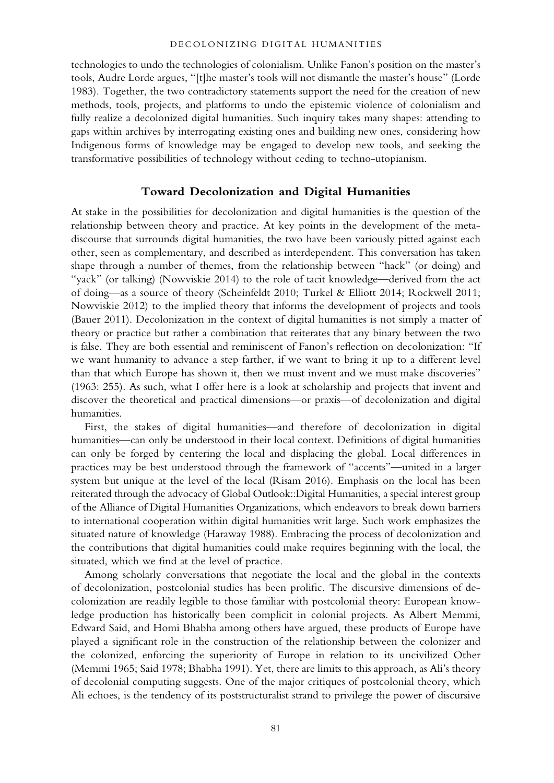#### DECOLONIZING DIGITAL HUMANITIES

technologies to undo the technologies of colonialism. Unlike Fanon's position on the master's tools, Audre Lorde argues, "[t]he master's tools will not dismantle the master's house" (Lorde 1983). Together, the two contradictory statements support the need for the creation of new methods, tools, projects, and platforms to undo the epistemic violence of colonialism and fully realize a decolonized digital humanities. Such inquiry takes many shapes: attending to gaps within archives by interrogating existing ones and building new ones, considering how Indigenous forms of knowledge may be engaged to develop new tools, and seeking the transformative possibilities of technology without ceding to techno-utopianism.

### **Toward Decolonization and Digital Humanities**

At stake in the possibilities for decolonization and digital humanities is the question of the relationship between theory and practice. At key points in the development of the metadiscourse that surrounds digital humanities, the two have been variously pitted against each other, seen as complementary, and described as interdependent. This conversation has taken shape through a number of themes, from the relationship between "hack" (or doing) and "yack" (or talking) (Nowviskie 2014) to the role of tacit knowledge—derived from the act of doing—as a source of theory (Scheinfeldt 2010; Turkel & Elliott 2014; Rockwell 2011; Nowviskie 2012) to the implied theory that informs the development of projects and tools (Bauer 2011). Decolonization in the context of digital humanities is not simply a matter of theory or practice but rather a combination that reiterates that any binary between the two is false. They are both essential and reminiscent of Fanon's reflection on decolonization: "If we want humanity to advance a step farther, if we want to bring it up to a different level than that which Europe has shown it, then we must invent and we must make discoveries" (1963: 255). As such, what I offer here is a look at scholarship and projects that invent and discover the theoretical and practical dimensions—or praxis—of decolonization and digital humanities.

First, the stakes of digital humanities—and therefore of decolonization in digital humanities—can only be understood in their local context. Definitions of digital humanities can only be forged by centering the local and displacing the global. Local differences in practices may be best understood through the framework of "accents"—united in a larger system but unique at the level of the local (Risam 2016). Emphasis on the local has been reiterated through the advocacy of Global Outlook::Digital Humanities, a special interest group of the Alliance of Digital Humanities Organizations, which endeavors to break down barriers to international cooperation within digital humanities writ large. Such work emphasizes the situated nature of knowledge (Haraway 1988). Embracing the process of decolonization and the contributions that digital humanities could make requires beginning with the local, the situated, which we find at the level of practice.

Among scholarly conversations that negotiate the local and the global in the contexts of decolonization, postcolonial studies has been prolific. The discursive dimensions of de colonization are readily legible to those familiar with postcolonial theory: European know ledge production has historically been complicit in colonial projects. As Albert Memmi, Edward Said, and Homi Bhabha among others have argued, these products of Europe have played a significant role in the construction of the relationship between the colonizer and the colonized, enforcing the superiority of Europe in relation to its uncivilized Other (Memmi 1965; Said 1978; Bhabha 1991). Yet, there are limits to this approach, as Ali's theory of decolonial computing suggests. One of the major critiques of postcolonial theory, which Ali echoes, is the tendency of its poststructuralist strand to privilege the power of discursive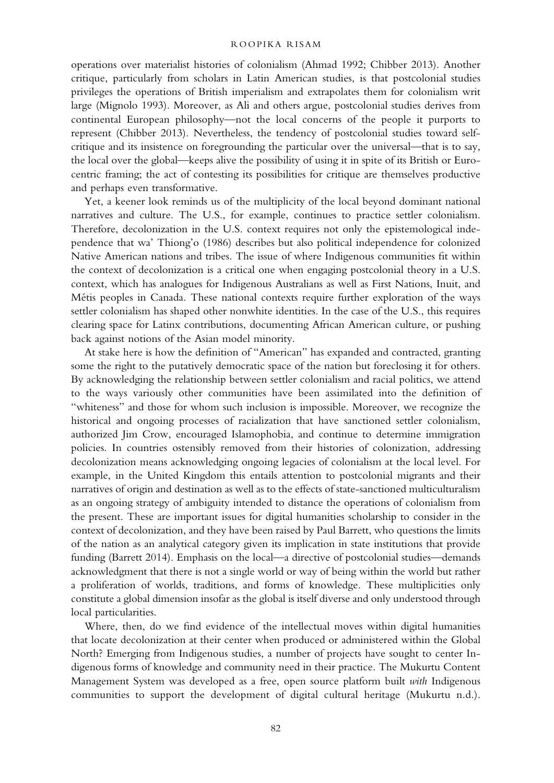#### ROOPIKA RISAM

operations over materialist histories of colonialism (Ahmad 1992; Chibber 2013). Another critique, particularly from scholars in Latin American studies, is that postcolonial studies privileges the operations of British imperialism and extrapolates them for colonialism writ large (Mignolo 1993). Moreover, as Ali and others argue, postcolonial studies derives from continental European philosophy—not the local concerns of the people it purports to represent (Chibber 2013). Nevertheless, the tendency of postcolonial studies toward selfcritique and its insistence on foregrounding the particular over the universal—that is to say, the local over the global—keeps alive the possibility of using it in spite of its British or Eurocentric framing; the act of contesting its possibilities for critique are themselves productive and perhaps even transformative.

Yet, a keener look reminds us of the multiplicity of the local beyond dominant national narratives and culture. The U.S., for example, continues to practice settler colonialism. Therefore, decolonization in the U.S. context requires not only the epistemological inde pendence that wa' Thiong'o (1986) describes but also political independence for colonized Native American nations and tribes. The issue of where Indigenous communities fit within the context of decolonization is a critical one when engaging postcolonial theory in a U.S. context, which has analogues for Indigenous Australians as well as First Nations, Inuit, and Métis peoples in Canada. These national contexts require further exploration of the ways settler colonialism has shaped other nonwhite identities. In the case of the U.S., this requires clearing space for Latinx contributions, documenting African American culture, or pushing back against notions of the Asian model minority.

At stake here is how the definition of "American" has expanded and contracted, granting some the right to the putatively democratic space of the nation but foreclosing it for others. By acknowledging the relationship between settler colonialism and racial politics, we attend to the ways variously other communities have been assimilated into the definition of "whiteness" and those for whom such inclusion is impossible. Moreover, we recognize the historical and ongoing processes of racialization that have sanctioned settler colonialism, authorized Jim Crow, encouraged Islamophobia, and continue to determine immigration policies. In countries ostensibly removed from their histories of colonization, addressing decolonization means acknowledging ongoing legacies of colonialism at the local level. For example, in the United Kingdom this entails attention to postcolonial migrants and their narratives of origin and destination as well as to the effects of state-sanctioned multiculturalism as an ongoing strategy of ambiguity intended to distance the operations of colonialism from the present. These are important issues for digital humanities scholarship to consider in the context of decolonization, and they have been raised by Paul Barrett, who questions the limits of the nation as an analytical category given its implication in state institutions that provide funding (Barrett 2014). Emphasis on the local—a directive of postcolonial studies—demands acknowledgment that there is not a single world or way of being within the world but rather a proliferation of worlds, traditions, and forms of knowledge. These multiplicities only constitute a global dimension insofar as the global is itself diverse and only understood through local particularities.

Where, then, do we find evidence of the intellectual moves within digital humanities that locate decolonization at their center when produced or administered within the Global North? Emerging from Indigenous studies, a number of projects have sought to center Indigenous forms of knowledge and community need in their practice. The Mukurtu Content Manage ment System was developed as a free, open source platform built *with* Indigenous communities to support the development of digital cultural heritage (Mukurtu n.d.).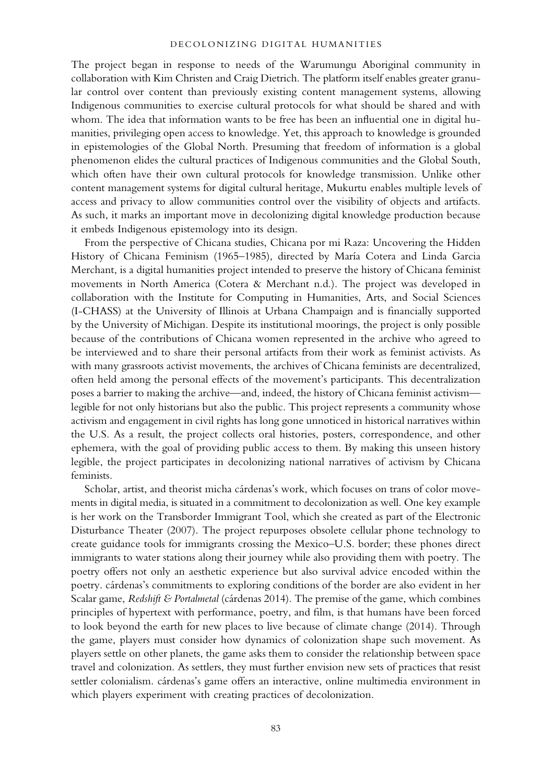The project began in response to needs of the Warumungu Aboriginal community in collaboration with Kim Christen and Craig Dietrich. The platform itself enables greater granu lar control over content than previously existing content management systems, allowing Indigenous communities to exercise cultural protocols for what should be shared and with whom. The idea that information wants to be free has been an influential one in digital humanities, privileging open access to knowledge. Yet, this approach to knowledge is grounded in epistemologies of the Global North. Presuming that freedom of information is a global phenomenon elides the cultural practices of Indigenous communities and the Global South, which often have their own cultural protocols for knowledge transmission. Unlike other content management systems for digital cultural heritage, Mukurtu enables multiple levels of access and privacy to allow communities control over the visibility of objects and artifacts. As such, it marks an important move in decolonizing digital knowledge production because it embeds Indigenous epistemology into its design.

From the perspective of Chicana studies, Chicana por mi Raza: Uncovering the Hidden History of Chicana Feminism (1965–1985), directed by María Cotera and Linda Garcia Merchant, is a digital humanities project intended to preserve the history of Chicana feminist movements in North America (Cotera & Merchant n.d.). The project was developed in collaboration with the Institute for Computing in Humanities, Arts, and Social Sciences (I-CHASS) at the University of Illinois at Urbana Champaign and is financially supported by the University of Michigan. Despite its institutional moorings, the project is only possible because of the contributions of Chicana women represented in the archive who agreed to be interviewed and to share their personal artifacts from their work as feminist activists. As with many grassroots activist movements, the archives of Chicana feminists are decentralized, often held among the personal effects of the movement's participants. This decentralization poses a barrier to making the archive—and, indeed, the history of Chicana feminist activism legible for not only historians but also the public. This project represents a community whose activism and engagement in civil rights has long gone unnoticed in historical narratives within the U.S. As a result, the project collects oral histories, posters, correspondence, and other ephemera, with the goal of providing public access to them. By making this unseen history legible, the project participates in decolonizing national narratives of activism by Chicana feminists.

Scholar, artist, and theorist micha cárdenas's work, which focuses on trans of color movements in digital media, is situated in a commitment to decolonization as well. One key example is her work on the Transborder Immigrant Tool, which she created as part of the Electronic Disturbance Theater (2007). The project repurposes obsolete cellular phone technology to create guidance tools for immigrants crossing the Mexico–U.S. border; these phones direct immigrants to water stations along their journey while also providing them with poetry. The poetry offers not only an aesthetic experience but also survival advice encoded within the poetry. cárdenas's commitments to exploring conditions of the border are also evident in her Scalar game, *Redshift & Portalmetal* (cárdenas 2014). The premise of the game, which combines principles of hypertext with performance, poetry, and film, is that humans have been forced to look beyond the earth for new places to live because of climate change (2014). Through the game, players must consider how dynamics of colonization shape such movement. As players settle on other planets, the game asks them to consider the relationship between space travel and colonization. As settlers, they must further envision new sets of practices that resist settler colonialism. cárdenas's game offers an interactive, online multimedia environment in which players experiment with creating practices of decolonization.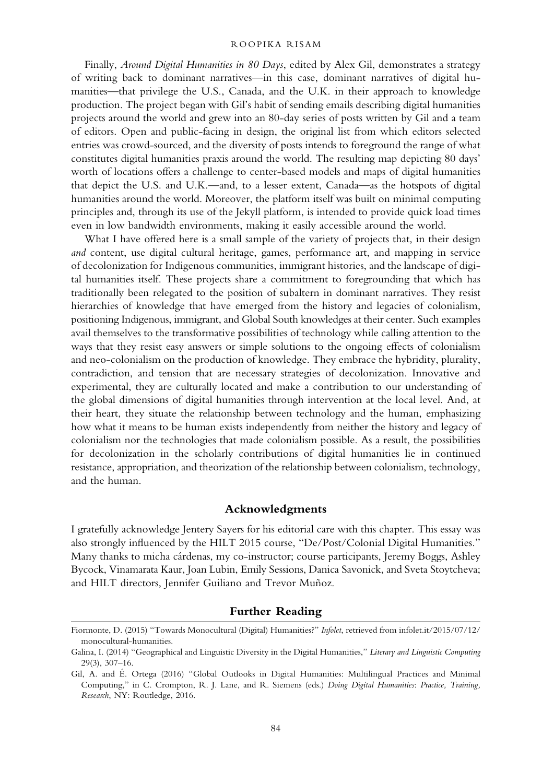#### ROOPIKA RISAM

Finally, *Around Digital Humanities in 80 Days*, edited by Alex Gil, demonstrates a strategy of writing back to dominant narratives—in this case, dominant narratives of digital hu manities—that privilege the U.S., Canada, and the U.K. in their approach to knowledge production. The project began with Gil's habit of sending emails describing digital humanities projects around the world and grew into an 80-day series of posts written by Gil and a team of editors. Open and public-facing in design, the original list from which editors selected entries was crowd-sourced, and the diversity of posts intends to foreground the range of what constitutes digital humanities praxis around the world. The resulting map depicting 80 days' worth of locations offers a challenge to center-based models and maps of digital humanities that depict the U.S. and U.K.—and, to a lesser extent, Canada—as the hotspots of digital humanities around the world. Moreover, the platform itself was built on minimal computing principles and, through its use of the Jekyll platform, is intended to provide quick load times even in low bandwidth environments, making it easily accessible around the world.

What I have offered here is a small sample of the variety of projects that, in their design *and* content, use digital cultural heritage, games, performance art, and mapping in service of decolonization for Indigenous communities, immigrant histories, and the landscape of digi tal humanities itself. These projects share a commitment to foregrounding that which has traditionally been relegated to the position of subaltern in dominant narratives. They resist hierarchies of knowledge that have emerged from the history and legacies of colonialism, positioning Indigenous, immigrant, and Global South knowledges at their center. Such examples avail themselves to the transformative possibilities of technology while calling attention to the ways that they resist easy answers or simple solutions to the ongoing effects of colonialism and neo-colonialism on the production of knowledge. They embrace the hybridity, plurality, contradiction, and tension that are necessary strategies of decolonization. Innovative and experimental, they are culturally located and make a contribution to our understanding of the global dimensions of digital humanities through intervention at the local level. And, at their heart, they situate the relationship between technology and the human, emphasizing how what it means to be human exists independently from neither the history and legacy of colonialism nor the technologies that made colonialism possible. As a result, the possibilities for decolonization in the scholarly contributions of digital humanities lie in continued resistance, appropriation, and theorization of the relationship between colonialism, technology, and the human.

## **Acknowledgments**

I gratefully acknowledge Jentery Sayers for his editorial care with this chapter. This essay was also strongly influenced by the HILT 2015 course, "De/Post/Colonial Digital Humanities." Many thanks to micha cárdenas, my co-instructor; course participants, Jeremy Boggs, Ashley Bycock, Vinamarata Kaur, Joan Lubin, Emily Sessions, Danica Savonick, and Sveta Stoytcheva; and HILT directors, Jennifer Guiliano and Trevor Muñoz.

# **Further Reading**

Fiormonte, D. (2015) "Towards Monocultural (Digital) Humanities?" *Infolet*, retrieved from infolet.it/2015/07/12/ monocultural-humanities.

Galina, I. (2014) "Geographical and Linguistic Diversity in the Digital Humanities," *Literary and Linguistic Computing* 29(3), 307–16.

Gil, A. and É. Ortega (2016) "Global Outlooks in Digital Humanities: Multilingual Practices and Minimal Computing," in C. Crompton, R. J. Lane, and R. Siemens (eds.) *Doing Digital Humanities*: *Practice, Training, Research*, NY: Routledge, 2016.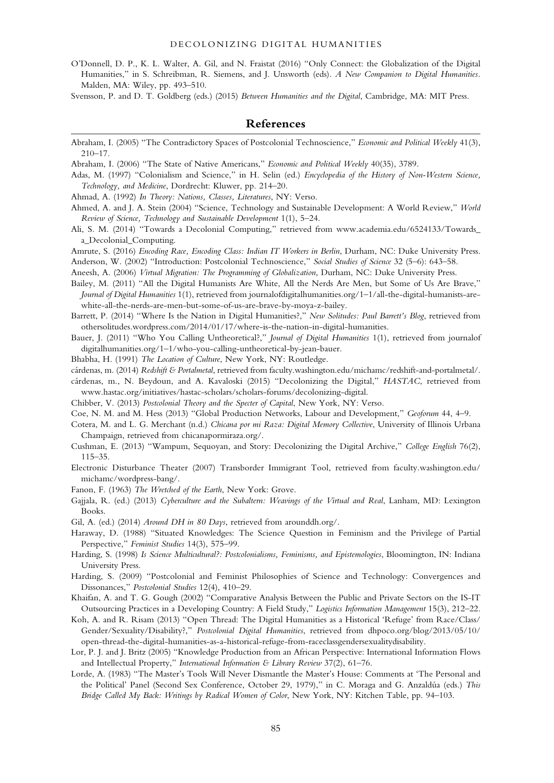#### DECOLONIZING DIGITAL HUMANITIES

O'Donnell, D. P., K. L. Walter, A. Gil, and N. Fraistat (2016) "Only Connect: the Globalization of the Digital Humanities," in S. Schreibman, R. Siemens, and J. Unsworth (eds). *A New Companion to Digital Humanities.* Malden, MA: Wiley, pp. 493–510.

Svensson, P. and D. T. Goldberg (eds.) (2015) *Between Humanities and the Digital*, Cambridge, MA: MIT Press.

#### **References**

- Abraham, I. (2005) "The Contradictory Spaces of Postcolonial Technoscience," *Economic and Political Weekly* 41(3), 210–17.
- Abraham, I. (2006) "The State of Native Americans," *Economic and Political Weekly* 40(35), 3789.
- Adas, M. (1997) "Colonialism and Science," in H. Selin (ed.) *Encyclopedia of the History of Non-Western Science, Technology, and Medicine*, Dordrecht: Kluwer, pp. 214–20.
- Ahmad, A. (1992) *In Theory: Nations, Classes, Literatures*, NY: Verso.
- Ahmed, A. and J. A. Stein (2004) "Science, Technology and Sustainable Development: A World Review," *World Review of Science, Technology and Sustainable Development* 1(1), 5–24.
- Ali, S. M. (2014) "Towards a Decolonial Computing," retrieved from www.academia.edu/6524133/Towards\_ a Decolonial Computing.
- Amrute, S. (2016) *Encoding Race, Encoding Class: Indian IT Workers in Berlin*, Durham, NC: Duke University Press.
- Anderson, W. (2002) "Introduction: Postcolonial Technoscience," *Social Studies of Science* 32 (5–6): 643–58.
- Aneesh, A. (2006) *Virtual Migration: The Programming of Globalization*, Durham, NC: Duke University Press.
- Bailey, M. (2011) "All the Digital Humanists Are White, All the Nerds Are Men, but Some of Us Are Brave," *Journal of Digital Humanities* 1(1), retrieved from journalofdigitalhumanities.org/1–1/all-the-digital-humanists-arewhite-all-the-nerds-are-men-but-some-of-us-are-brave-by-moya-z-bailey.
- Barrett, P. (2014) "Where Is the Nation in Digital Humanities?," *New Solitudes: Paul Barrett's Blog*, retrieved from othersolitudes.wordpress.com/2014/01/17/where-is-the-nation-in-digital-humanities.
- Bauer, J. (2011) "Who You Calling Untheoretical?," *Journal of Digital Humanities* 1(1), retrieved from journalof digitalhumanities.org/1–1/who-you-calling-untheoretical-by-jean-bauer.
- Bhabha, H. (1991) *The Location of Culture*, New York, NY: Routledge.
- cárdenas, m. (2014) *Redshift & Portalmetal*, retrieved from faculty.washington.edu/michamc/redshift-and-portalmetal/.
- cárdenas, m., N. Beydoun, and A. Kavaloski (2015) "Decolonizing the Digital," *HASTAC*, retrieved from www.hastac.org/initiatives/hastac-scholars/scholars-forums/decolonizing-digital.
- Chibber, V. (2013) *Postcolonial Theory and the Specter of Capital*, New York, NY: Verso.
- Coe, N. M. and M. Hess (2013) "Global Production Networks, Labour and Development," *Geoforum* 44, 4–9.
- Cotera, M. and L. G. Merchant (n.d.) *Chicana por mi Raza: Digital Memory Collective*, University of Illinois Urbana Champaign, retrieved from chicanapormiraza.org/.
- Cushman, E. (2013) "Wampum, Sequoyan, and Story: Decolonizing the Digital Archive," *College English* 76(2), 115–35.
- Electronic Disturbance Theater (2007) Transborder Immigrant Tool, retrieved from faculty.washington.edu/ michamc/wordpress-bang/.
- Fanon, F. (1963) *The Wretched of the Earth*, New York: Grove.
- Gajjala, R. (ed.) (2013) *Cyberculture and the Subaltern: Weavings of the Virtual and Real*, Lanham, MD: Lexington Books.
- Gil, A. (ed.) (2014) *Around DH in 80 Days*, retrieved from arounddh.org/.
- Haraway, D. (1988) "Situated Knowledges: The Science Question in Feminism and the Privilege of Partial Perspective," *Feminist Studies* 14(3), 575–99.
- Harding, S. (1998) *Is Science Multicultural?: Postcolonialisms, Feminisms, and Epistemologies*, Bloomington, IN: Indiana University Press.
- Harding, S. (2009) "Postcolonial and Feminist Philosophies of Science and Technology: Convergences and Dissonances," *Postcolonial Studies* 12(4), 410–29.
- Khaifan, A. and T. G. Gough (2002) "Comparative Analysis Between the Public and Private Sectors on the IS-IT Outsourcing Practices in a Developing Country: A Field Study," *Logistics Information Management* 15(3), 212–22.
- Koh, A. and R. Risam (2013) "Open Thread: The Digital Humanities as a Historical 'Refuge' from Race/Class/ Gender/Sexuality/Disability?," *Postcolonial Digital Humanities*, retrieved from dhpoco.org/blog/2013/05/10/ open-thread-the-digital-humanities-as-a-historical-refuge-from-raceclassgendersexualitydisability.
- Lor, P. J. and J. Britz (2005) "Knowledge Production from an African Perspective: International Information Flows and Intellectual Property," *International Information & Library Review* 37(2), 61–76.
- Lorde, A. (1983) "The Master's Tools Will Never Dismantle the Master's House: Comments at 'The Personal and the Political' Panel (Second Sex Conference, October 29, 1979)," in C. Moraga and G. Anzaldúa (eds.) *This Bridge Called My Back: Writings by Radical Women of Color*, New York, NY: Kitchen Table, pp. 94–103.